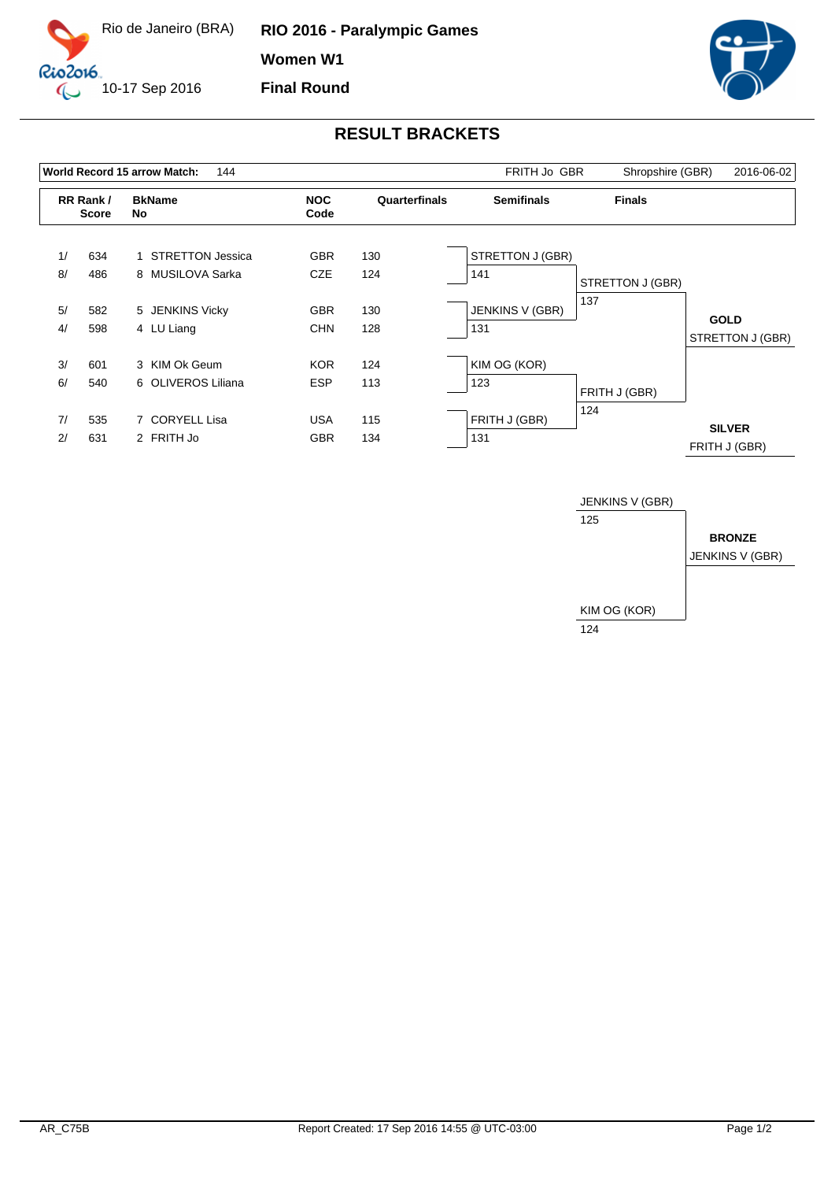

**RIO 2016 - Paralympic Games Women W1 Final Round**



## **RESULT BRACKETS**

|    |                          | World Record 15 arrow Match:<br>144 |                    | FRITH Jo GBR  | Shropshire (GBR)  | 2016-06-02       |                                |
|----|--------------------------|-------------------------------------|--------------------|---------------|-------------------|------------------|--------------------------------|
|    | RR Rank/<br><b>Score</b> | <b>BkName</b><br>No                 | <b>NOC</b><br>Code | Quarterfinals | <b>Semifinals</b> | <b>Finals</b>    |                                |
| 1/ | 634                      | 1 STRETTON Jessica                  | <b>GBR</b>         | 130           | STRETTON J (GBR)  |                  |                                |
| 8/ | 486                      | 8 MUSILOVA Sarka                    | <b>CZE</b>         | 124           | 141               | STRETTON J (GBR) |                                |
| 5/ | 582                      | 5 JENKINS Vicky                     | <b>GBR</b>         | 130           | JENKINS V (GBR)   | 137              | <b>GOLD</b>                    |
| 4/ | 598                      | 4 LU Liang                          | <b>CHN</b>         | 128           | 131               |                  | STRETTON J (GBR)               |
| 3/ | 601                      | 3 KIM Ok Geum                       | <b>KOR</b>         | 124           | KIM OG (KOR)      |                  |                                |
| 6/ | 540                      | 6 OLIVEROS Liliana                  | <b>ESP</b>         | 113           | 123               | FRITH J (GBR)    |                                |
| 7/ | 535                      | 7 CORYELL Lisa                      | <b>USA</b>         | 115           | FRITH J (GBR)     | 124              |                                |
| 2/ | 631                      | 2 FRITH Jo                          | <b>GBR</b>         | 134           | 131               |                  | <b>SILVER</b><br>FRITH J (GBR) |